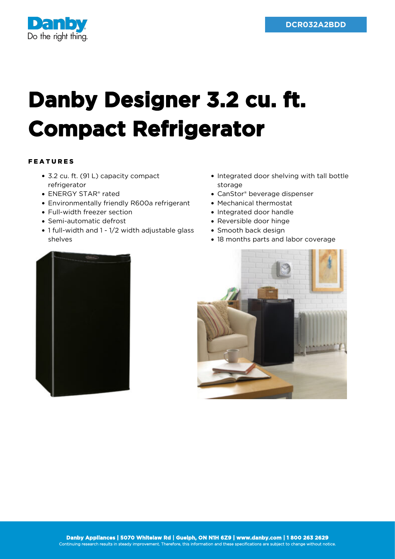

## **Danby Designer 3.2 cu. ft. Compact Refrigerator**

## FEATURES

- 3.2 cu. ft. (91 L) capacity compact refrigerator
- ENERGY STAR® rated
- Environmentally friendly R600a refrigerant
- Full-width freezer section
- Semi-automatic defrost
- 1 full-width and 1 1/2 width adjustable glass shelves
- Integrated door shelving with tall bottle storage
- CanStor® beverage dispenser
- Mechanical thermostat
- Integrated door handle
- Reversible door hinge
- Smooth back design
- 18 months parts and labor coverage